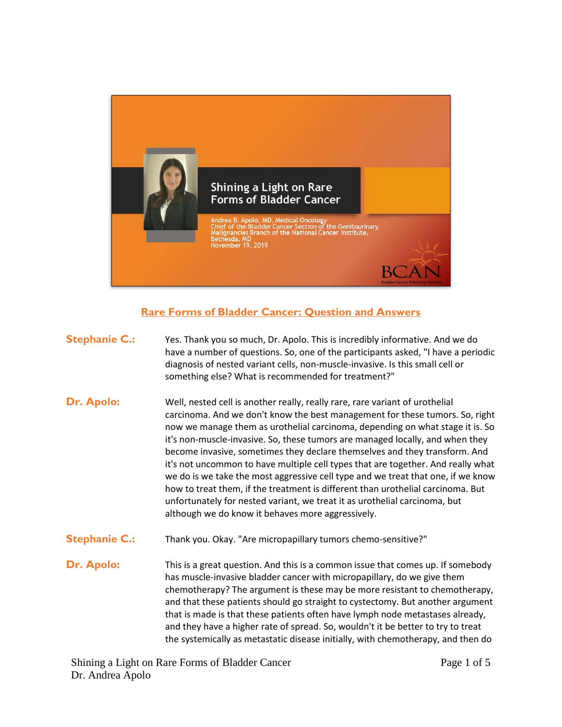

## **Rare Forms of Bladder Cancer: Question and Answers**

| <b>Stephanie C.:</b> | Yes. Thank you so much, Dr. Apolo. This is incredibly informative. And we do<br>have a number of questions. So, one of the participants asked, "I have a periodic<br>diagnosis of nested variant cells, non-muscle-invasive. Is this small cell or<br>something else? What is recommended for treatment?"                                                                                                                                                                                                                                                                                                                                                                                                                                                                                                  |
|----------------------|------------------------------------------------------------------------------------------------------------------------------------------------------------------------------------------------------------------------------------------------------------------------------------------------------------------------------------------------------------------------------------------------------------------------------------------------------------------------------------------------------------------------------------------------------------------------------------------------------------------------------------------------------------------------------------------------------------------------------------------------------------------------------------------------------------|
| Dr. Apolo:           | Well, nested cell is another really, really rare, rare variant of urothelial<br>carcinoma. And we don't know the best management for these tumors. So, right<br>now we manage them as urothelial carcinoma, depending on what stage it is. So<br>it's non-muscle-invasive. So, these tumors are managed locally, and when they<br>become invasive, sometimes they declare themselves and they transform. And<br>it's not uncommon to have multiple cell types that are together. And really what<br>we do is we take the most aggressive cell type and we treat that one, if we know<br>how to treat them, if the treatment is different than urothelial carcinoma. But<br>unfortunately for nested variant, we treat it as urothelial carcinoma, but<br>although we do know it behaves more aggressively. |
| <b>Stephanie C.:</b> | Thank you. Okay. "Are micropapillary tumors chemo-sensitive?"                                                                                                                                                                                                                                                                                                                                                                                                                                                                                                                                                                                                                                                                                                                                              |
| <b>Dr. Apolo:</b>    | This is a great question. And this is a common issue that comes up. If somebody<br>has muscle-invasive bladder cancer with micropapillary, do we give them<br>chemotherapy? The argument is these may be more resistant to chemotherapy,<br>and that these patients should go straight to cystectomy. But another argument<br>that is made is that these patients often have lymph node metastases already,<br>and they have a higher rate of spread. So, wouldn't it be better to try to treat<br>the systemically as metastatic disease initially, with chemotherapy, and then do                                                                                                                                                                                                                        |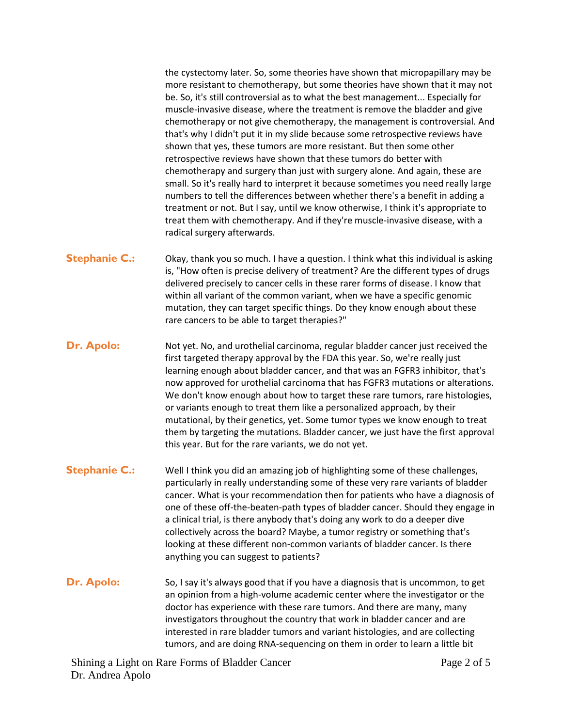the cystectomy later. So, some theories have shown that micropapillary may be more resistant to chemotherapy, but some theories have shown that it may not be. So, it's still controversial as to what the best management... Especially for muscle-invasive disease, where the treatment is remove the bladder and give chemotherapy or not give chemotherapy, the management is controversial. And that's why I didn't put it in my slide because some retrospective reviews have shown that yes, these tumors are more resistant. But then some other retrospective reviews have shown that these tumors do better with chemotherapy and surgery than just with surgery alone. And again, these are small. So it's really hard to interpret it because sometimes you need really large numbers to tell the differences between whether there's a benefit in adding a treatment or not. But I say, until we know otherwise, I think it's appropriate to treat them with chemotherapy. And if they're muscle-invasive disease, with a radical surgery afterwards.

- **Stephanie C.:** Okay, thank you so much. I have a question. I think what this individual is asking is, "How often is precise delivery of treatment? Are the different types of drugs delivered precisely to cancer cells in these rarer forms of disease. I know that within all variant of the common variant, when we have a specific genomic mutation, they can target specific things. Do they know enough about these rare cancers to be able to target therapies?"
- **Dr. Apolo:** Not yet. No, and urothelial carcinoma, regular bladder cancer just received the first targeted therapy approval by the FDA this year. So, we're really just learning enough about bladder cancer, and that was an FGFR3 inhibitor, that's now approved for urothelial carcinoma that has FGFR3 mutations or alterations. We don't know enough about how to target these rare tumors, rare histologies, or variants enough to treat them like a personalized approach, by their mutational, by their genetics, yet. Some tumor types we know enough to treat them by targeting the mutations. Bladder cancer, we just have the first approval this year. But for the rare variants, we do not yet.
- **Stephanie C.:** Well I think you did an amazing job of highlighting some of these challenges, particularly in really understanding some of these very rare variants of bladder cancer. What is your recommendation then for patients who have a diagnosis of one of these off-the-beaten-path types of bladder cancer. Should they engage in a clinical trial, is there anybody that's doing any work to do a deeper dive collectively across the board? Maybe, a tumor registry or something that's looking at these different non-common variants of bladder cancer. Is there anything you can suggest to patients?
- **Dr. Apolo:** So, I say it's always good that if you have a diagnosis that is uncommon, to get an opinion from a high-volume academic center where the investigator or the doctor has experience with these rare tumors. And there are many, many investigators throughout the country that work in bladder cancer and are interested in rare bladder tumors and variant histologies, and are collecting tumors, and are doing RNA-sequencing on them in order to learn a little bit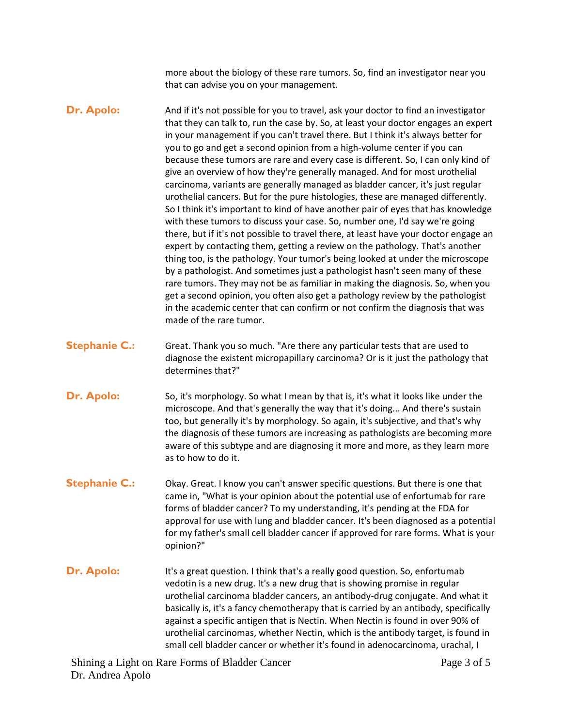more about the biology of these rare tumors. So, find an investigator near you that can advise you on your management.

- **Dr. Apolo:** And if it's not possible for you to travel, ask your doctor to find an investigator that they can talk to, run the case by. So, at least your doctor engages an expert in your management if you can't travel there. But I think it's always better for you to go and get a second opinion from a high-volume center if you can because these tumors are rare and every case is different. So, I can only kind of give an overview of how they're generally managed. And for most urothelial carcinoma, variants are generally managed as bladder cancer, it's just regular urothelial cancers. But for the pure histologies, these are managed differently. So I think it's important to kind of have another pair of eyes that has knowledge with these tumors to discuss your case. So, number one, I'd say we're going there, but if it's not possible to travel there, at least have your doctor engage an expert by contacting them, getting a review on the pathology. That's another thing too, is the pathology. Your tumor's being looked at under the microscope by a pathologist. And sometimes just a pathologist hasn't seen many of these rare tumors. They may not be as familiar in making the diagnosis. So, when you get a second opinion, you often also get a pathology review by the pathologist in the academic center that can confirm or not confirm the diagnosis that was made of the rare tumor.
- **Stephanie C.:** Great. Thank you so much. "Are there any particular tests that are used to diagnose the existent micropapillary carcinoma? Or is it just the pathology that determines that?"
- **Dr.** Apolo: So, it's morphology. So what I mean by that is, it's what it looks like under the microscope. And that's generally the way that it's doing... And there's sustain too, but generally it's by morphology. So again, it's subjective, and that's why the diagnosis of these tumors are increasing as pathologists are becoming more aware of this subtype and are diagnosing it more and more, as they learn more as to how to do it.
- **Stephanie C.:** Okay. Great. I know you can't answer specific questions. But there is one that came in, "What is your opinion about the potential use of enfortumab for rare forms of bladder cancer? To my understanding, it's pending at the FDA for approval for use with lung and bladder cancer. It's been diagnosed as a potential for my father's small cell bladder cancer if approved for rare forms. What is your opinion?"
- **Dr. Apolo:** It's a great question. I think that's a really good question. So, enfortumab vedotin is a new drug. It's a new drug that is showing promise in regular urothelial carcinoma bladder cancers, an antibody-drug conjugate. And what it basically is, it's a fancy chemotherapy that is carried by an antibody, specifically against a specific antigen that is Nectin. When Nectin is found in over 90% of urothelial carcinomas, whether Nectin, which is the antibody target, is found in small cell bladder cancer or whether it's found in adenocarcinoma, urachal, I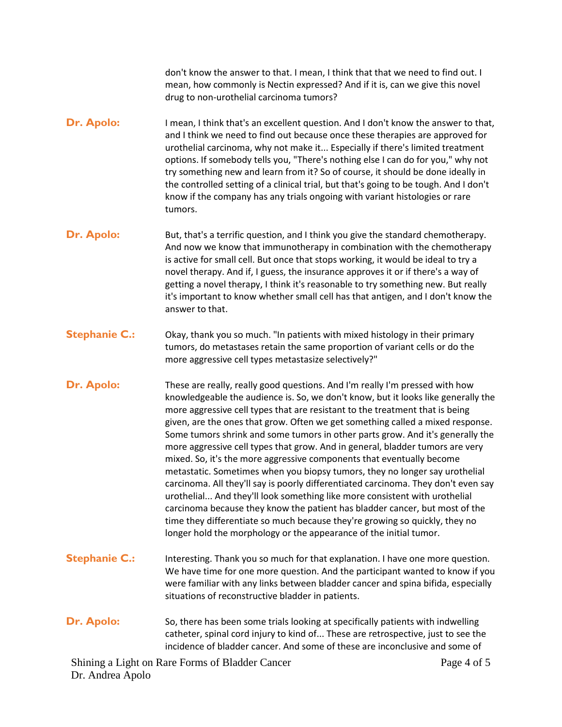don't know the answer to that. I mean, I think that that we need to find out. I mean, how commonly is Nectin expressed? And if it is, can we give this novel drug to non-urothelial carcinoma tumors?

- **Dr. Apolo:** I mean, I think that's an excellent question. And I don't know the answer to that, and I think we need to find out because once these therapies are approved for urothelial carcinoma, why not make it... Especially if there's limited treatment options. If somebody tells you, "There's nothing else I can do for you," why not try something new and learn from it? So of course, it should be done ideally in the controlled setting of a clinical trial, but that's going to be tough. And I don't know if the company has any trials ongoing with variant histologies or rare tumors.
- **Dr. Apolo:** But, that's a terrific question, and I think you give the standard chemotherapy. And now we know that immunotherapy in combination with the chemotherapy is active for small cell. But once that stops working, it would be ideal to try a novel therapy. And if, I guess, the insurance approves it or if there's a way of getting a novel therapy, I think it's reasonable to try something new. But really it's important to know whether small cell has that antigen, and I don't know the answer to that.
- **Stephanie C.:** Okay, thank you so much. "In patients with mixed histology in their primary tumors, do metastases retain the same proportion of variant cells or do the more aggressive cell types metastasize selectively?"
- **Dr. Apolo:** These are really, really good questions. And I'm really I'm pressed with how knowledgeable the audience is. So, we don't know, but it looks like generally the more aggressive cell types that are resistant to the treatment that is being given, are the ones that grow. Often we get something called a mixed response. Some tumors shrink and some tumors in other parts grow. And it's generally the more aggressive cell types that grow. And in general, bladder tumors are very mixed. So, it's the more aggressive components that eventually become metastatic. Sometimes when you biopsy tumors, they no longer say urothelial carcinoma. All they'll say is poorly differentiated carcinoma. They don't even say urothelial... And they'll look something like more consistent with urothelial carcinoma because they know the patient has bladder cancer, but most of the time they differentiate so much because they're growing so quickly, they no longer hold the morphology or the appearance of the initial tumor.
- **Stephanie C.:** Interesting. Thank you so much for that explanation. I have one more question. We have time for one more question. And the participant wanted to know if you were familiar with any links between bladder cancer and spina bifida, especially situations of reconstructive bladder in patients.
- **Dr. Apolo:** So, there has been some trials looking at specifically patients with indwelling catheter, spinal cord injury to kind of... These are retrospective, just to see the incidence of bladder cancer. And some of these are inconclusive and some of